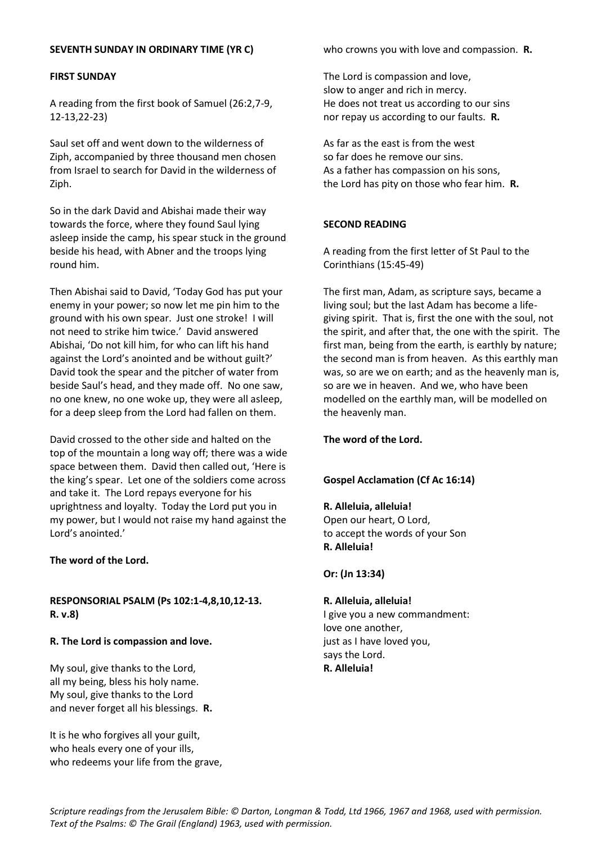## **SEVENTH SUNDAY IN ORDINARY TIME (YR C)**

### **FIRST SUNDAY**

A reading from the first book of Samuel (26:2,7-9, 12-13,22-23)

Saul set off and went down to the wilderness of Ziph, accompanied by three thousand men chosen from Israel to search for David in the wilderness of Ziph.

So in the dark David and Abishai made their way towards the force, where they found Saul lying asleep inside the camp, his spear stuck in the ground beside his head, with Abner and the troops lying round him.

Then Abishai said to David, 'Today God has put your enemy in your power; so now let me pin him to the ground with his own spear. Just one stroke! I will not need to strike him twice.' David answered Abishai, 'Do not kill him, for who can lift his hand against the Lord's anointed and be without guilt?' David took the spear and the pitcher of water from beside Saul's head, and they made off. No one saw, no one knew, no one woke up, they were all asleep, for a deep sleep from the Lord had fallen on them.

David crossed to the other side and halted on the top of the mountain a long way off; there was a wide space between them. David then called out, 'Here is the king's spear. Let one of the soldiers come across and take it. The Lord repays everyone for his uprightness and loyalty. Today the Lord put you in my power, but I would not raise my hand against the Lord's anointed.'

#### **The word of the Lord.**

# **RESPONSORIAL PSALM (Ps 102:1-4,8,10,12-13. R. v.8)**

#### **R. The Lord is compassion and love.**

My soul, give thanks to the Lord, all my being, bless his holy name. My soul, give thanks to the Lord and never forget all his blessings. **R.**

It is he who forgives all your guilt, who heals every one of your ills, who redeems your life from the grave, who crowns you with love and compassion. **R.**

The Lord is compassion and love, slow to anger and rich in mercy. He does not treat us according to our sins nor repay us according to our faults. **R.**

As far as the east is from the west so far does he remove our sins. As a father has compassion on his sons, the Lord has pity on those who fear him. **R.**

### **SECOND READING**

A reading from the first letter of St Paul to the Corinthians (15:45-49)

The first man, Adam, as scripture says, became a living soul; but the last Adam has become a lifegiving spirit. That is, first the one with the soul, not the spirit, and after that, the one with the spirit. The first man, being from the earth, is earthly by nature; the second man is from heaven. As this earthly man was, so are we on earth; and as the heavenly man is, so are we in heaven. And we, who have been modelled on the earthly man, will be modelled on the heavenly man.

**The word of the Lord.**

#### **Gospel Acclamation (Cf Ac 16:14)**

**R. Alleluia, alleluia!** Open our heart, O Lord, to accept the words of your Son **R. Alleluia!**

#### **Or: (Jn 13:34)**

#### **R. Alleluia, alleluia!**

I give you a new commandment: love one another, just as I have loved you, says the Lord. **R. Alleluia!**